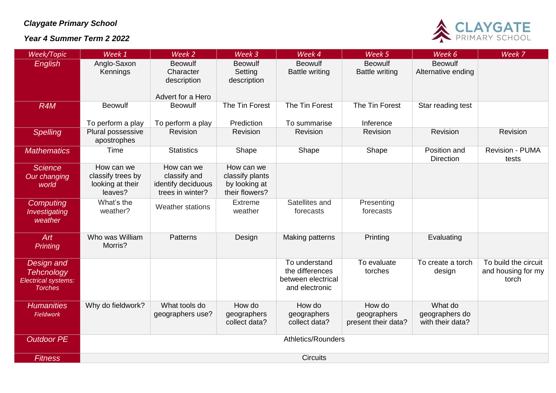## *Claygate Primary School*

## *Year 4 Summer Term 2 2022*



| Week/Topic                                                               | Week 1                                                         | Week 2                                                               | Week 3                                                           | Week 4                                                                   | Week 5                                       | Week 6                                        | Week 7                                              |  |  |
|--------------------------------------------------------------------------|----------------------------------------------------------------|----------------------------------------------------------------------|------------------------------------------------------------------|--------------------------------------------------------------------------|----------------------------------------------|-----------------------------------------------|-----------------------------------------------------|--|--|
| <b>English</b>                                                           | Anglo-Saxon<br>Kennings                                        | <b>Beowulf</b><br>Character<br>description                           | <b>Beowulf</b><br>Setting<br>description                         | <b>Beowulf</b><br><b>Battle writing</b>                                  | <b>Beowulf</b><br><b>Battle writing</b>      | <b>Beowulf</b><br>Alternative ending          |                                                     |  |  |
| R <sub>4</sub> M                                                         | <b>Beowulf</b>                                                 | Advert for a Hero<br><b>Beowulf</b>                                  | The Tin Forest                                                   | The Tin Forest                                                           | The Tin Forest                               | Star reading test                             |                                                     |  |  |
|                                                                          |                                                                |                                                                      |                                                                  |                                                                          |                                              |                                               |                                                     |  |  |
|                                                                          | To perform a play                                              | To perform a play                                                    | Prediction                                                       | To summarise                                                             | Inference                                    |                                               |                                                     |  |  |
| Spelling                                                                 | Plural possessive<br>apostrophes                               | Revision                                                             | Revision                                                         | Revision                                                                 | Revision                                     | Revision                                      | Revision                                            |  |  |
| <b>Mathematics</b>                                                       | Time                                                           | <b>Statistics</b>                                                    | Shape                                                            | Shape                                                                    | Shape                                        | Position and<br><b>Direction</b>              | <b>Revision - PUMA</b><br>tests                     |  |  |
| <b>Science</b><br>Our changing<br>world                                  | How can we<br>classify trees by<br>looking at their<br>leaves? | How can we<br>classify and<br>identify deciduous<br>trees in winter? | How can we<br>classify plants<br>by looking at<br>their flowers? |                                                                          |                                              |                                               |                                                     |  |  |
| Computing<br>Investigating<br>weather                                    | What's the<br>weather?                                         | Weather stations                                                     | Extreme<br>weather                                               | Satellites and<br>forecasts                                              | Presenting<br>forecasts                      |                                               |                                                     |  |  |
| Art<br>Printing                                                          | Who was William<br>Morris?                                     | <b>Patterns</b>                                                      | Design                                                           | Making patterns                                                          | Printing                                     | Evaluating                                    |                                                     |  |  |
| Design and<br><b>Tehcnology</b><br>Electrical systems:<br><b>Torches</b> |                                                                |                                                                      |                                                                  | To understand<br>the differences<br>between electrical<br>and electronic | To evaluate<br>torches                       | To create a torch<br>design                   | To build the circuit<br>and housing for my<br>torch |  |  |
| <b>Humanities</b><br><b>Fieldwork</b>                                    | Why do fieldwork?                                              | What tools do<br>geographers use?                                    | How do<br>geographers<br>collect data?                           | How do<br>geographers<br>collect data?                                   | How do<br>geographers<br>present their data? | What do<br>geographers do<br>with their data? |                                                     |  |  |
| <b>Outdoor PE</b>                                                        | <b>Athletics/Rounders</b>                                      |                                                                      |                                                                  |                                                                          |                                              |                                               |                                                     |  |  |
| <b>Fitness</b>                                                           | <b>Circuits</b>                                                |                                                                      |                                                                  |                                                                          |                                              |                                               |                                                     |  |  |